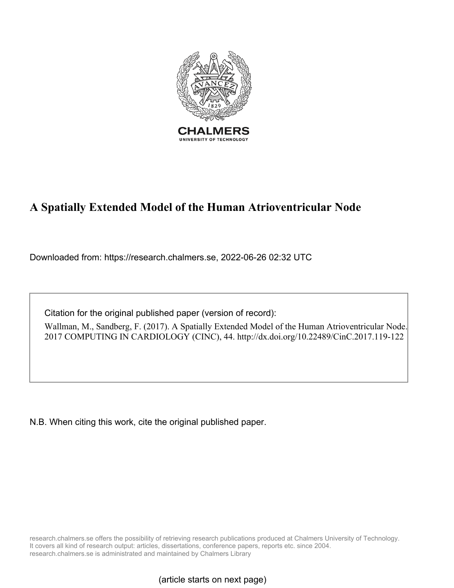

# **A Spatially Extended Model of the Human Atrioventricular Node**

Downloaded from: https://research.chalmers.se, 2022-06-26 02:32 UTC

Citation for the original published paper (version of record):

Wallman, M., Sandberg, F. (2017). A Spatially Extended Model of the Human Atrioventricular Node. 2017 COMPUTING IN CARDIOLOGY (CINC), 44. http://dx.doi.org/10.22489/CinC.2017.119-122

N.B. When citing this work, cite the original published paper.

research.chalmers.se offers the possibility of retrieving research publications produced at Chalmers University of Technology. It covers all kind of research output: articles, dissertations, conference papers, reports etc. since 2004. research.chalmers.se is administrated and maintained by Chalmers Library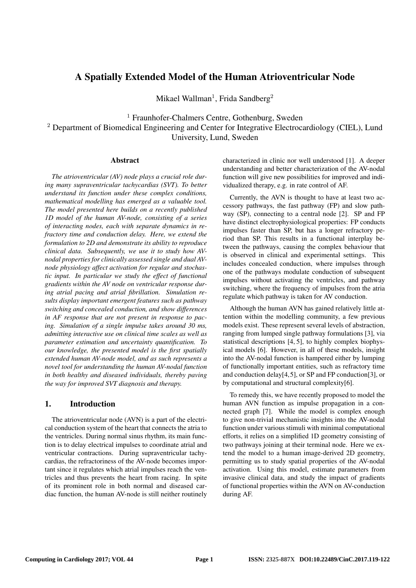# A Spatially Extended Model of the Human Atrioventricular Node

Mikael Wallman<sup>1</sup>, Frida Sandberg<sup>2</sup>

<sup>1</sup> Fraunhofer-Chalmers Centre, Gothenburg, Sweden

<sup>2</sup> Department of Biomedical Engineering and Center for Integrative Electrocardiology (CIEL), Lund University, Lund, Sweden

#### Abstract

*The atrioventricular (AV) node plays a crucial role during many supraventricular tachycardias (SVT). To better understand its function under these complex conditions, mathematical modelling has emerged as a valuable tool. The model presented here builds on a recently published 1D model of the human AV-node, consisting of a series of interacting nodes, each with separate dynamics in refractory time and conduction delay. Here, we extend the formulation to 2D and demonstrate its ability to reproduce clinical data. Subsequently, we use it to study how AVnodal properties for clinically assessed single and dual AVnode physiology affect activation for regular and stochastic input. In particular we study the effect of functional gradients within the AV node on ventricular response during atrial pacing and atrial fibrillation. Simulation results display important emergent features such as pathway switching and concealed conduction, and show differences in AF response that are not present in response to pacing. Simulation of a single impulse takes around 30 ms, admitting interactive use on clinical time scales as well as parameter estimation and uncertainty quantification. To our knowledge, the presented model is the first spatially extended human AV-node model, and as such represents a novel tool for understanding the human AV-nodal function in both healthy and diseased individuals, thereby paving the way for improved SVT diagnosis and therapy.*

# 1. Introduction

The atrioventricular node (AVN) is a part of the electrical conduction system of the heart that connects the atria to the ventricles. During normal sinus rhythm, its main function is to delay electrical impulses to coordinate atrial and ventricular contractions. During supraventricular tachycardias, the refractoriness of the AV-node becomes important since it regulates which atrial impulses reach the ventricles and thus prevents the heart from racing. In spite of its prominent role in both normal and diseased cardiac function, the human AV-node is still neither routinely characterized in clinic nor well understood [1]. A deeper understanding and better characterization of the AV-nodal function will give new possibilities for improved and individualized therapy, e.g. in rate control of AF.

Currently, the AVN is thought to have at least two accessory pathways, the fast pathway (FP) and slow pathway (SP), connecting to a central node [2]. SP and FP have distinct electrophysiological properties: FP conducts impulses faster than SP, but has a longer refractory period than SP. This results in a functional interplay between the pathways, causing the complex behaviour that is observed in clinical and experimental settings. This includes concealed conduction, where impulses through one of the pathways modulate conduction of subsequent impulses without activating the ventricles, and pathway switching, where the frequency of impulses from the atria regulate which pathway is taken for AV conduction.

Although the human AVN has gained relatively little attention within the modelling community, a few previous models exist. These represent several levels of abstraction, ranging from lumped single pathway formulations [3], via statistical descriptions [4, 5], to highly complex biophysical models [6]. However, in all of these models, insight into the AV-nodal function is hampered either by lumping of functionally important entities, such as refractory time and conduction delay[4,5], or SP and FP conduction[3], or by computational and structural complexity[6].

To remedy this, we have recently proposed to model the human AVN function as impulse propagation in a connected graph [7]. While the model is complex enough to give non-trivial mechanistic insights into the AV-nodal function under various stimuli with minimal computational efforts, it relies on a simplified 1D geometry consisting of two pathways joining at their terminal node. Here we extend the model to a human image-derived 2D geometry, permitting us to study spatial properties of the AV-nodal activation. Using this model, estimate parameters from invasive clinical data, and study the impact of gradients of functional properties within the AVN on AV-conduction during AF.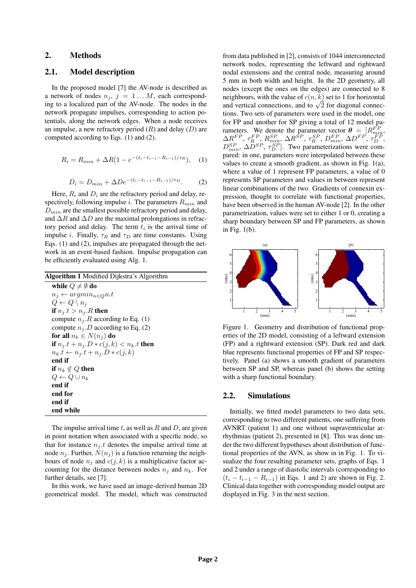# 2. Methods

# 2.1. Model description

In the proposed model [7] the AV-node is described as a network of nodes  $n_j$ ,  $j = 1...M$ , each corresponding to a localized part of the AV-node. The nodes in the network propagate impulses, corresponding to action potentials, along the network edges. When a node receives an impulse, a new refractory period (*R*) and delay (*D*) are computed according to Eqs. (1) and (2).

$$
R_i = R_{min} + \Delta R (1 - e^{-(t_i - t_{i-1} - R_{i-1})/\tau_R}), \quad (1)
$$

$$
D_i = D_{min} + \Delta D e^{-(t_i - t_{i-1} - R_{i-1})/\tau_D}.
$$
 (2)

Here,  $R_i$  and  $D_i$  are the refractory period and delay, respectively, following impulse *i*. The parameters *Rmin* and *Dmin* are the smallest possible refractory period and delay, and  $\Delta R$  and  $\Delta D$  are the maximal prolongations in refractory period and delay. The term *t<sup>i</sup>* is the arrival time of impulse *i*. Finally,  $\tau_R$  and  $\tau_D$  are time constants. Using Eqs. (1) and (2), impulses are propagated through the network in an event-based fashion. Impulse propagation can be efficiently evaluated using Alg. 1.

| <b>Algorithm 1</b> Modified Dijkstra's Algorithm |  |  |  |  |  |
|--------------------------------------------------|--|--|--|--|--|
| while $Q \neq \emptyset$ do                      |  |  |  |  |  |
| $n_i \leftarrow argmin_{n \in Q} n.t$            |  |  |  |  |  |
| $Q \leftarrow Q \setminus n_i$                   |  |  |  |  |  |
| if $n_i.t > n_i.R$ then                          |  |  |  |  |  |
| compute $n_i$ . R according to Eq. (1)           |  |  |  |  |  |
| compute $n_i.D$ according to Eq. (2)             |  |  |  |  |  |
| for all $n_k \in N(n_i)$ do                      |  |  |  |  |  |
| if $n_j.t + n_j.D * c(j, k) < n_k.t$ then        |  |  |  |  |  |
| $n_k.t \leftarrow n_j.t + n_j.D * c(j,k)$        |  |  |  |  |  |
| end if                                           |  |  |  |  |  |
| if $n_k \notin Q$ then                           |  |  |  |  |  |
| $Q \leftarrow Q \cup n_k$                        |  |  |  |  |  |
| end if                                           |  |  |  |  |  |
| end for                                          |  |  |  |  |  |
| end if                                           |  |  |  |  |  |
| end while                                        |  |  |  |  |  |

The impulse arrival time *t*, as well as *R* and *D*, are given in point notation when associated with a specific node, so that for instance  $n_i$ , *t* denotes the impulse arrival time at node  $n_j$ . Further,  $N(n_j)$  is a function returning the neighbours of node  $n_j$  and  $c(j, k)$  is a multiplicative factor accounting for the distance between nodes  $n_j$  and  $n_k$ . For further details, see [7].

In this work, we have used an image-derived human 2D geometrical model. The model, which was constructed

from data published in [2], consists of 1044 interconnected network nodes, representing the leftward and rightward nodal extensions and the central node, measuring around 5 mm in both width and height. In the 2D geometry, all nodes (except the ones on the edges) are connected to 8 neighbours, with the value of  $c(n, k)$  set to 1 for horizontal neignbours, with the value of  $c(n, \kappa)$  set to 1 for horizontal<br>and vertical connections, and to  $\sqrt{2}$  for diagonal connections. Two sets of parameters were used in the model, one for FP and another for SP giving a total of 12 model parameters. We denote the parameter vector  $\theta = [R_{min}^{FP},$  $\Delta R^{FP}$ ,  $\tau_{R}^{FP}$ ,  $R_{min}^{SP}$ ,  $\Delta R^{SP}$ ,  $\tau_{R}^{SP}$ ,  $D_{min}^{FP}$ ,  $\Delta D^{FP}$ ,  $\tau_{D}^{FP}$ ,  $D_{min}^{SP}$ ,  $\Delta D^{SP}$ ,  $\tau_D^{SP}$ ]. Two parameterizations were compared: in one, parameters were interpolated between these values to create a smooth gradient, as shown in Fig. 1(a), where a value of 1 represent FP parameters, a value of 0 represents SP parameters and values in between represent linear combinations of the two. Gradients of connexin expression, thought to correlate with functional properties, have been observed in the human AV-node [2]. In the other parametrization, values were set to either 1 or 0, creating a sharp boundary between SP and FP parameters, as shown in Fig. 1(b).



Figure 1. Geometry and distribution of functional properties of the 2D model, consisting of a leftward extension (FP) and a rightward extension (SP). Dark red and dark blue represents functional properties of FP and SP respectively. Panel (a) shows a smooth gradient of parameters between SP and SP, whereas panel (b) shows the setting with a sharp functional boundary.

# 2.2. Simulations

Initially, we fitted model parameters to two data sets, corresponding to two different patients, one suffering from AVNRT (patient 1) and one without supraventricular arrhythmias (patient 2), presented in [8]. This was done under the two different hypotheses about distribution of functional properties of the AVN, as show in in Fig. 1. To visualize the four resulting parameter sets, graphs of Eqs. 1 and 2 under a range of diastolic intervals (corresponding to  $(t_i - t_{i-1} - R_{i-1})$  in Eqs. 1 and 2) are shown in Fig. 2. Clinical data together with corresponding model output are displayed in Fig. 3 in the next section.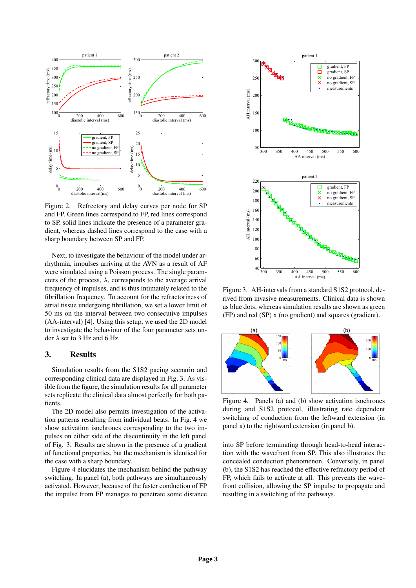

Figure 2. Refrectory and delay curves per node for SP and FP. Green lines correspond to FP, red lines correspond to SP, solid lines indicate the presence of a parameter gradient, whereas dashed lines correspond to the case with a sharp boundary between SP and FP.

Next, to investigate the behaviour of the model under arrhythmia, impulses arriving at the AVN as a result of AF were simulated using a Poisson process. The single parameters of the process,  $\lambda$ , corresponds to the average arrival frequency of impulses, and is thus intimately related to the fibrillation frequency. To account for the refractoriness of atrial tissue undergoing fibrillation, we set a lower limit of 50 ms on the interval between two consecutive impulses (AA-interval) [4]. Using this setup, we used the 2D model to investigate the behaviour of the four parameter sets under  $\lambda$  set to 3 Hz and 6 Hz.

#### 3. Results

Simulation results from the S1S2 pacing scenario and corresponding clinical data are displayed in Fig. 3. As visible from the figure, the simulation results for all parameter sets replicate the clinical data almost perfectly for both patients.

The 2D model also permits investigation of the activation patterns resulting from individual beats. In Fig. 4 we show activation isochrones corresponding to the two impulses on either side of the discontinuity in the left panel of Fig. 3. Results are shown in the presence of a gradient of functional properties, but the mechanism is identical for the case with a sharp boundary.

Figure 4 elucidates the mechanism behind the pathway switching. In panel (a), both pathways are simultaneously activated. However, because of the faster conduction of FP the impulse from FP manages to penetrate some distance



Figure 3. AH-intervals from a standard S1S2 protocol, derived from invasive measurements. Clinical data is shown as blue dots, whereas simulation results are shown as green (FP) and red (SP) x (no gradient) and squares (gradient).



Figure 4. Panels (a) and (b) show activation isochrones during and S1S2 protocol, illustrating rate dependent switching of conduction from the leftward extension (in panel a) to the rightward extension (in panel b).

into SP before terminating through head-to-head interaction with the wavefront from SP. This also illustrates the concealed conduction phenomenon. Conversely, in panel (b), the S1S2 has reached the effective refractory period of FP, which fails to activate at all. This prevents the wavefront collision, allowing the SP impulse to propagate and resulting in a switching of the pathways.